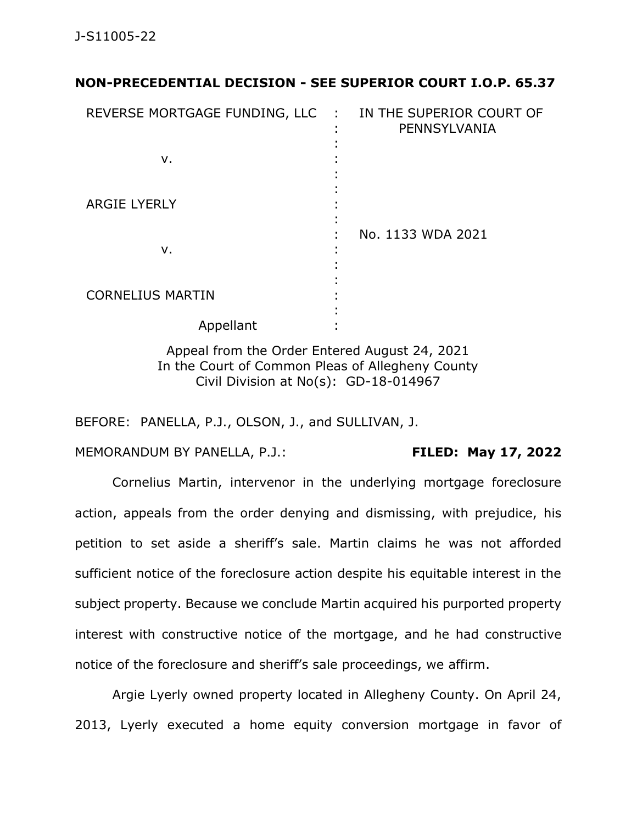## **NON-PRECEDENTIAL DECISION - SEE SUPERIOR COURT I.O.P. 65.37**

| REVERSE MORTGAGE FUNDING, LLC | $\sim 10$<br>٠<br>٠ | IN THE SUPERIOR COURT OF<br>PENNSYLVANIA |
|-------------------------------|---------------------|------------------------------------------|
| ν.                            |                     |                                          |
| <b>ARGIE LYERLY</b>           |                     |                                          |
| ν.                            | ٠<br>٠              | No. 1133 WDA 2021                        |
| <b>CORNELIUS MARTIN</b>       |                     |                                          |
| Appellant                     |                     |                                          |

Appeal from the Order Entered August 24, 2021 In the Court of Common Pleas of Allegheny County Civil Division at No(s): GD-18-014967

BEFORE: PANELLA, P.J., OLSON, J., and SULLIVAN, J.

MEMORANDUM BY PANELLA, P.J.: **FILED: May 17, 2022**

Cornelius Martin, intervenor in the underlying mortgage foreclosure action, appeals from the order denying and dismissing, with prejudice, his petition to set aside a sheriff's sale. Martin claims he was not afforded sufficient notice of the foreclosure action despite his equitable interest in the subject property. Because we conclude Martin acquired his purported property interest with constructive notice of the mortgage, and he had constructive notice of the foreclosure and sheriff's sale proceedings, we affirm.

Argie Lyerly owned property located in Allegheny County. On April 24, 2013, Lyerly executed a home equity conversion mortgage in favor of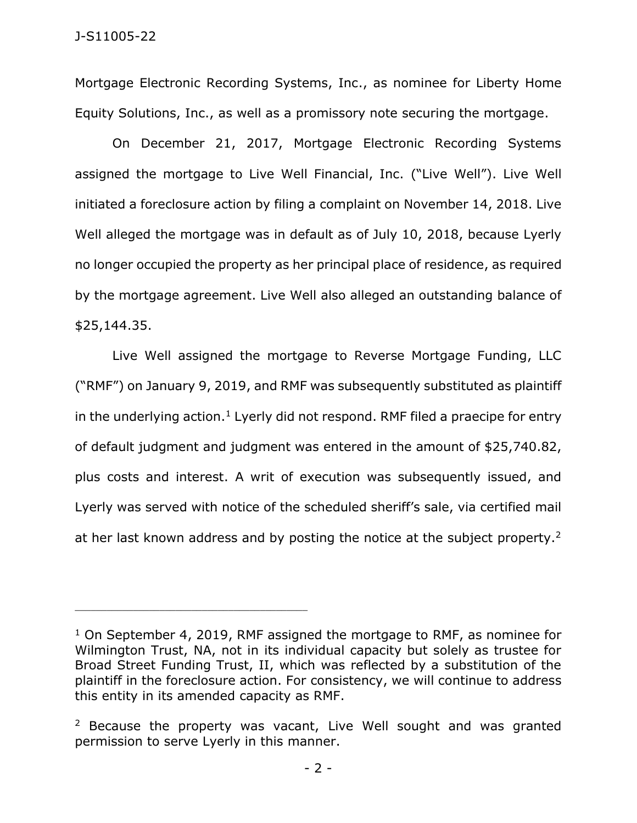Mortgage Electronic Recording Systems, Inc., as nominee for Liberty Home Equity Solutions, Inc., as well as a promissory note securing the mortgage.

On December 21, 2017, Mortgage Electronic Recording Systems assigned the mortgage to Live Well Financial, Inc. ("Live Well"). Live Well initiated a foreclosure action by filing a complaint on November 14, 2018. Live Well alleged the mortgage was in default as of July 10, 2018, because Lyerly no longer occupied the property as her principal place of residence, as required by the mortgage agreement. Live Well also alleged an outstanding balance of \$25,144.35.

Live Well assigned the mortgage to Reverse Mortgage Funding, LLC ("RMF") on January 9, 2019, and RMF was subsequently substituted as plaintiff in the underlying action.<sup>1</sup> Lyerly did not respond. RMF filed a praecipe for entry of default judgment and judgment was entered in the amount of \$25,740.82, plus costs and interest. A writ of execution was subsequently issued, and Lyerly was served with notice of the scheduled sheriff's sale, via certified mail at her last known address and by posting the notice at the subject property.<sup>2</sup>

<sup>&</sup>lt;sup>1</sup> On September 4, 2019, RMF assigned the mortgage to RMF, as nominee for Wilmington Trust, NA, not in its individual capacity but solely as trustee for Broad Street Funding Trust, II, which was reflected by a substitution of the plaintiff in the foreclosure action. For consistency, we will continue to address this entity in its amended capacity as RMF.

<sup>&</sup>lt;sup>2</sup> Because the property was vacant, Live Well sought and was granted permission to serve Lyerly in this manner.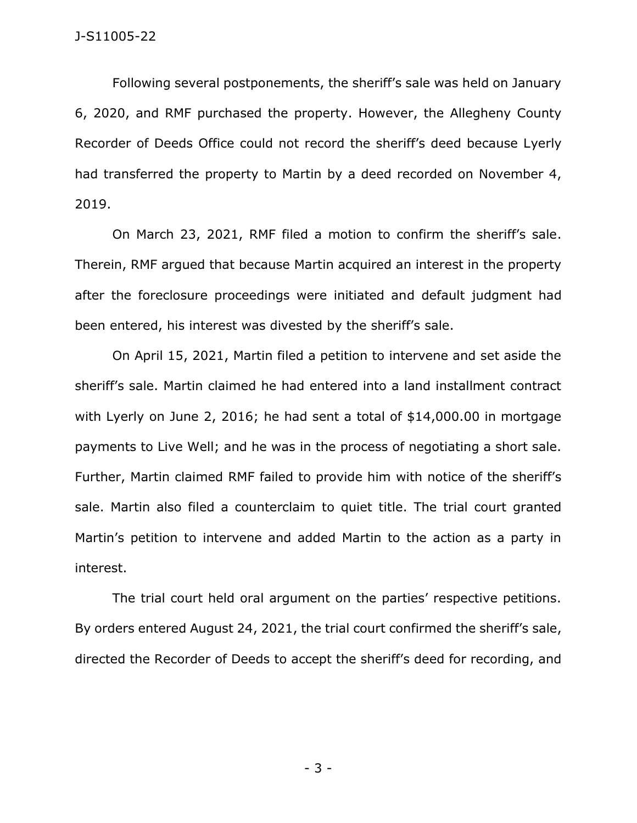Following several postponements, the sheriff's sale was held on January 6, 2020, and RMF purchased the property. However, the Allegheny County Recorder of Deeds Office could not record the sheriff's deed because Lyerly had transferred the property to Martin by a deed recorded on November 4, 2019.

On March 23, 2021, RMF filed a motion to confirm the sheriff's sale. Therein, RMF argued that because Martin acquired an interest in the property after the foreclosure proceedings were initiated and default judgment had been entered, his interest was divested by the sheriff's sale.

On April 15, 2021, Martin filed a petition to intervene and set aside the sheriff's sale. Martin claimed he had entered into a land installment contract with Lyerly on June 2, 2016; he had sent a total of \$14,000.00 in mortgage payments to Live Well; and he was in the process of negotiating a short sale. Further, Martin claimed RMF failed to provide him with notice of the sheriff's sale. Martin also filed a counterclaim to quiet title. The trial court granted Martin's petition to intervene and added Martin to the action as a party in interest.

The trial court held oral argument on the parties' respective petitions. By orders entered August 24, 2021, the trial court confirmed the sheriff's sale, directed the Recorder of Deeds to accept the sheriff's deed for recording, and

- 3 -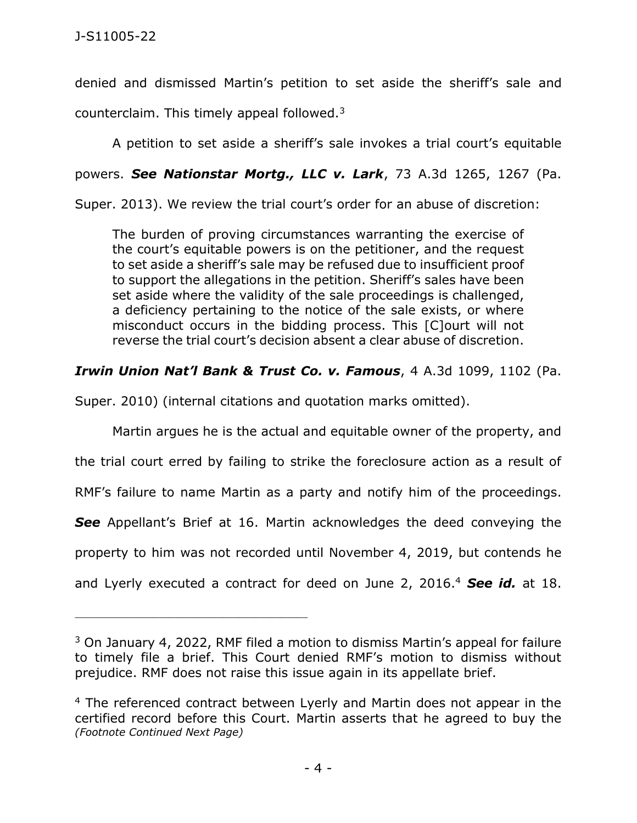denied and dismissed Martin's petition to set aside the sheriff's sale and counterclaim. This timely appeal followed.<sup>3</sup>

A petition to set aside a sheriff's sale invokes a trial court's equitable

powers. *See Nationstar Mortg., LLC v. Lark*, 73 A.3d 1265, 1267 (Pa.

Super. 2013). We review the trial court's order for an abuse of discretion:

The burden of proving circumstances warranting the exercise of the court's equitable powers is on the petitioner, and the request to set aside a sheriff's sale may be refused due to insufficient proof to support the allegations in the petition. Sheriff's sales have been set aside where the validity of the sale proceedings is challenged, a deficiency pertaining to the notice of the sale exists, or where misconduct occurs in the bidding process. This [C]ourt will not reverse the trial court's decision absent a clear abuse of discretion.

## *Irwin Union Nat'l Bank & Trust Co. v. Famous*, 4 A.3d 1099, 1102 (Pa.

Super. 2010) (internal citations and quotation marks omitted).

\_\_\_\_\_\_\_\_\_\_\_\_\_\_\_\_\_\_\_\_\_\_\_\_\_\_\_\_\_\_\_\_\_\_\_\_\_\_\_\_\_\_\_\_

Martin argues he is the actual and equitable owner of the property, and the trial court erred by failing to strike the foreclosure action as a result of RMF's failure to name Martin as a party and notify him of the proceedings. *See* Appellant's Brief at 16. Martin acknowledges the deed conveying the property to him was not recorded until November 4, 2019, but contends he and Lyerly executed a contract for deed on June 2, 2016.<sup>4</sup> *See id.* at 18.

<sup>3</sup> On January 4, 2022, RMF filed a motion to dismiss Martin's appeal for failure to timely file a brief. This Court denied RMF's motion to dismiss without prejudice. RMF does not raise this issue again in its appellate brief.

<sup>&</sup>lt;sup>4</sup> The referenced contract between Lyerly and Martin does not appear in the certified record before this Court. Martin asserts that he agreed to buy the *(Footnote Continued Next Page)*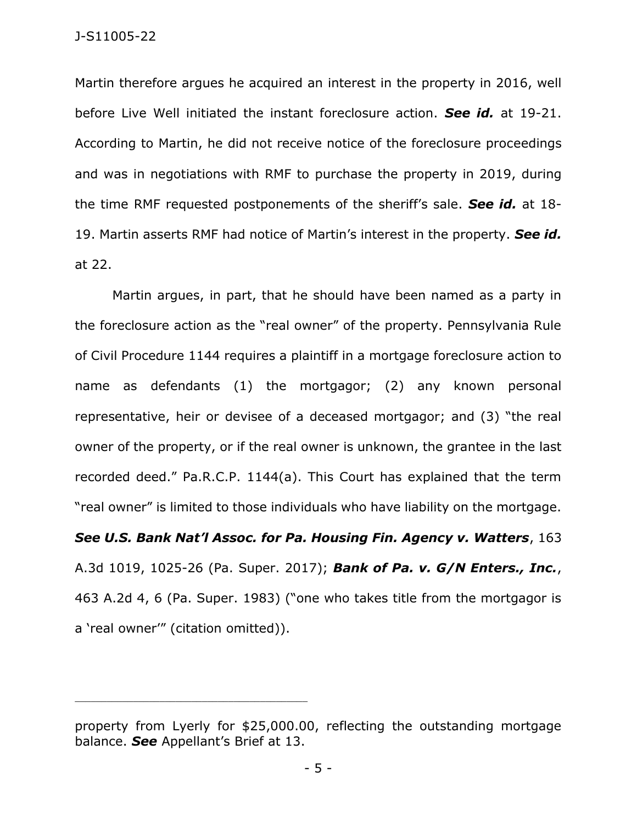Martin therefore argues he acquired an interest in the property in 2016, well before Live Well initiated the instant foreclosure action. *See id.* at 19-21. According to Martin, he did not receive notice of the foreclosure proceedings and was in negotiations with RMF to purchase the property in 2019, during the time RMF requested postponements of the sheriff's sale. *See id.* at 18- 19. Martin asserts RMF had notice of Martin's interest in the property. *See id.* at 22.

Martin argues, in part, that he should have been named as a party in the foreclosure action as the "real owner" of the property. Pennsylvania Rule of Civil Procedure 1144 requires a plaintiff in a mortgage foreclosure action to name as defendants (1) the mortgagor; (2) any known personal representative, heir or devisee of a deceased mortgagor; and (3) "the real owner of the property, or if the real owner is unknown, the grantee in the last recorded deed." Pa.R.C.P. 1144(a). This Court has explained that the term "real owner" is limited to those individuals who have liability on the mortgage.

*See U.S. Bank Nat'l Assoc. for Pa. Housing Fin. Agency v. Watters*, 163 A.3d 1019, 1025-26 (Pa. Super. 2017); *Bank of Pa. v. G/N Enters., Inc.*, 463 A.2d 4, 6 (Pa. Super. 1983) ("one who takes title from the mortgagor is a 'real owner'" (citation omitted)).

\_\_\_\_\_\_\_\_\_\_\_\_\_\_\_\_\_\_\_\_\_\_\_\_\_\_\_\_\_\_\_\_\_\_\_\_\_\_\_\_\_\_\_\_

property from Lyerly for \$25,000.00, reflecting the outstanding mortgage balance. *See* Appellant's Brief at 13.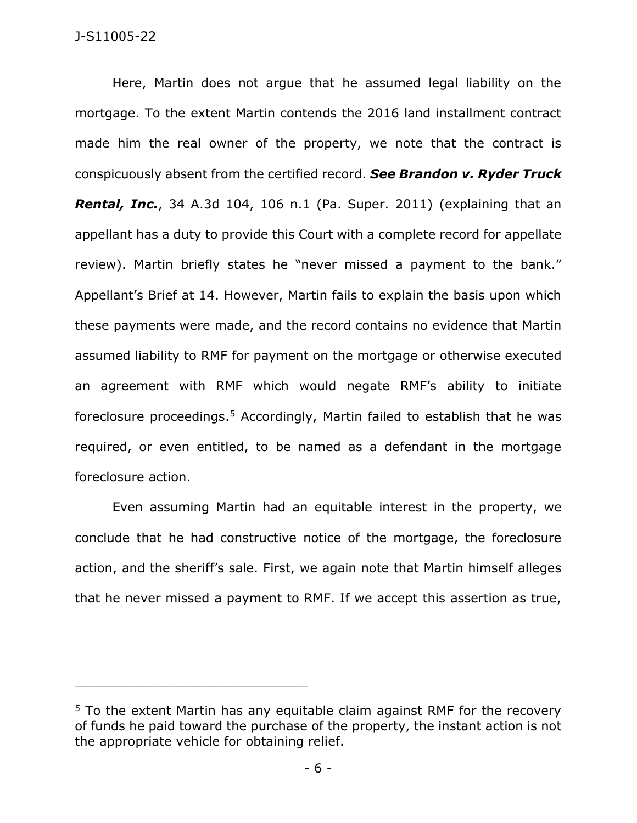Here, Martin does not argue that he assumed legal liability on the mortgage. To the extent Martin contends the 2016 land installment contract made him the real owner of the property, we note that the contract is conspicuously absent from the certified record. *See Brandon v. Ryder Truck Rental, Inc.*, 34 A.3d 104, 106 n.1 (Pa. Super. 2011) (explaining that an appellant has a duty to provide this Court with a complete record for appellate review). Martin briefly states he "never missed a payment to the bank." Appellant's Brief at 14. However, Martin fails to explain the basis upon which these payments were made, and the record contains no evidence that Martin assumed liability to RMF for payment on the mortgage or otherwise executed an agreement with RMF which would negate RMF's ability to initiate foreclosure proceedings.<sup>5</sup> Accordingly, Martin failed to establish that he was required, or even entitled, to be named as a defendant in the mortgage foreclosure action.

Even assuming Martin had an equitable interest in the property, we conclude that he had constructive notice of the mortgage, the foreclosure action, and the sheriff's sale. First, we again note that Martin himself alleges that he never missed a payment to RMF. If we accept this assertion as true,

\_\_\_\_\_\_\_\_\_\_\_\_\_\_\_\_\_\_\_\_\_\_\_\_\_\_\_\_\_\_\_\_\_\_\_\_\_\_\_\_\_\_\_\_

<sup>&</sup>lt;sup>5</sup> To the extent Martin has any equitable claim against RMF for the recovery of funds he paid toward the purchase of the property, the instant action is not the appropriate vehicle for obtaining relief.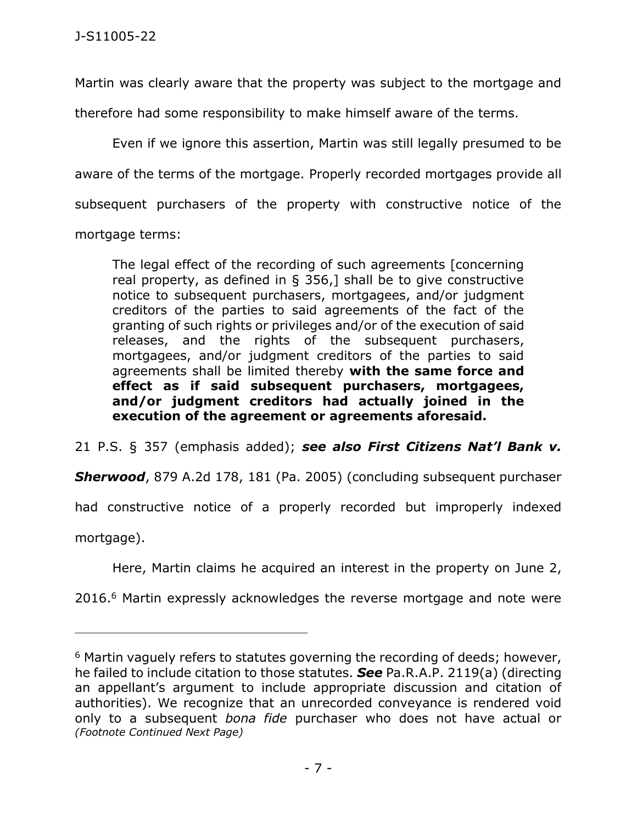Martin was clearly aware that the property was subject to the mortgage and

therefore had some responsibility to make himself aware of the terms.

Even if we ignore this assertion, Martin was still legally presumed to be aware of the terms of the mortgage. Properly recorded mortgages provide all subsequent purchasers of the property with constructive notice of the mortgage terms:

The legal effect of the recording of such agreements [concerning real property, as defined in § 356,] shall be to give constructive notice to subsequent purchasers, mortgagees, and/or judgment creditors of the parties to said agreements of the fact of the granting of such rights or privileges and/or of the execution of said releases, and the rights of the subsequent purchasers, mortgagees, and/or judgment creditors of the parties to said agreements shall be limited thereby **with the same force and effect as if said subsequent purchasers, mortgagees, and/or judgment creditors had actually joined in the execution of the agreement or agreements aforesaid.**

21 P.S. § 357 (emphasis added); *see also First Citizens Nat'l Bank v.* 

*Sherwood*, 879 A.2d 178, 181 (Pa. 2005) (concluding subsequent purchaser

had constructive notice of a properly recorded but improperly indexed

mortgage).

\_\_\_\_\_\_\_\_\_\_\_\_\_\_\_\_\_\_\_\_\_\_\_\_\_\_\_\_\_\_\_\_\_\_\_\_\_\_\_\_\_\_\_\_

Here, Martin claims he acquired an interest in the property on June 2,

2016.<sup>6</sup> Martin expressly acknowledges the reverse mortgage and note were

 $6$  Martin vaguely refers to statutes governing the recording of deeds; however, he failed to include citation to those statutes. *See* Pa.R.A.P. 2119(a) (directing an appellant's argument to include appropriate discussion and citation of authorities). We recognize that an unrecorded conveyance is rendered void only to a subsequent *bona fide* purchaser who does not have actual or *(Footnote Continued Next Page)*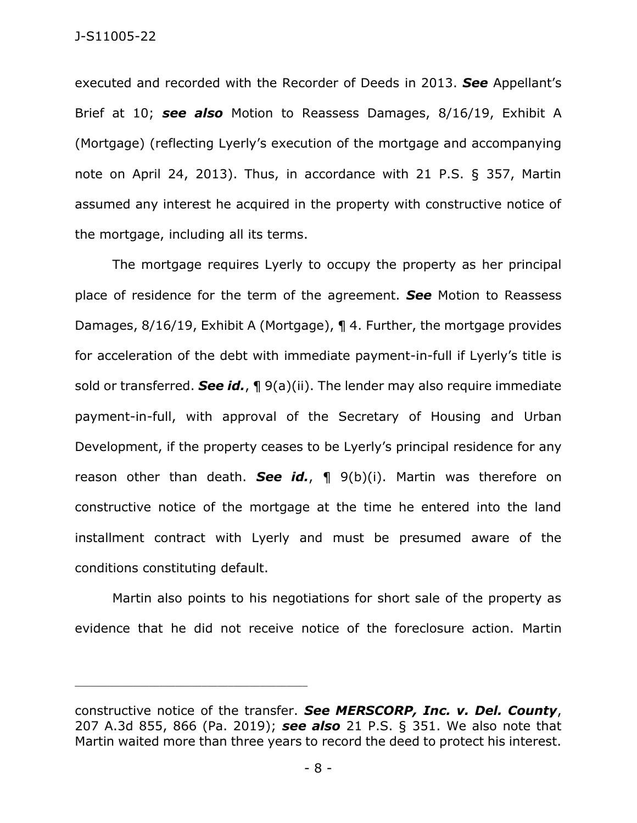executed and recorded with the Recorder of Deeds in 2013. *See* Appellant's Brief at 10; *see also* Motion to Reassess Damages, 8/16/19, Exhibit A (Mortgage) (reflecting Lyerly's execution of the mortgage and accompanying note on April 24, 2013). Thus, in accordance with 21 P.S. § 357, Martin assumed any interest he acquired in the property with constructive notice of the mortgage, including all its terms.

The mortgage requires Lyerly to occupy the property as her principal place of residence for the term of the agreement. *See* Motion to Reassess Damages, 8/16/19, Exhibit A (Mortgage), ¶ 4. Further, the mortgage provides for acceleration of the debt with immediate payment-in-full if Lyerly's title is sold or transferred. *See id.*, ¶ 9(a)(ii). The lender may also require immediate payment-in-full, with approval of the Secretary of Housing and Urban Development, if the property ceases to be Lyerly's principal residence for any reason other than death. *See id.*, ¶ 9(b)(i). Martin was therefore on constructive notice of the mortgage at the time he entered into the land installment contract with Lyerly and must be presumed aware of the conditions constituting default.

Martin also points to his negotiations for short sale of the property as evidence that he did not receive notice of the foreclosure action. Martin

\_\_\_\_\_\_\_\_\_\_\_\_\_\_\_\_\_\_\_\_\_\_\_\_\_\_\_\_\_\_\_\_\_\_\_\_\_\_\_\_\_\_\_\_

constructive notice of the transfer. *See MERSCORP, Inc. v. Del. County*, 207 A.3d 855, 866 (Pa. 2019); *see also* 21 P.S. § 351. We also note that Martin waited more than three years to record the deed to protect his interest.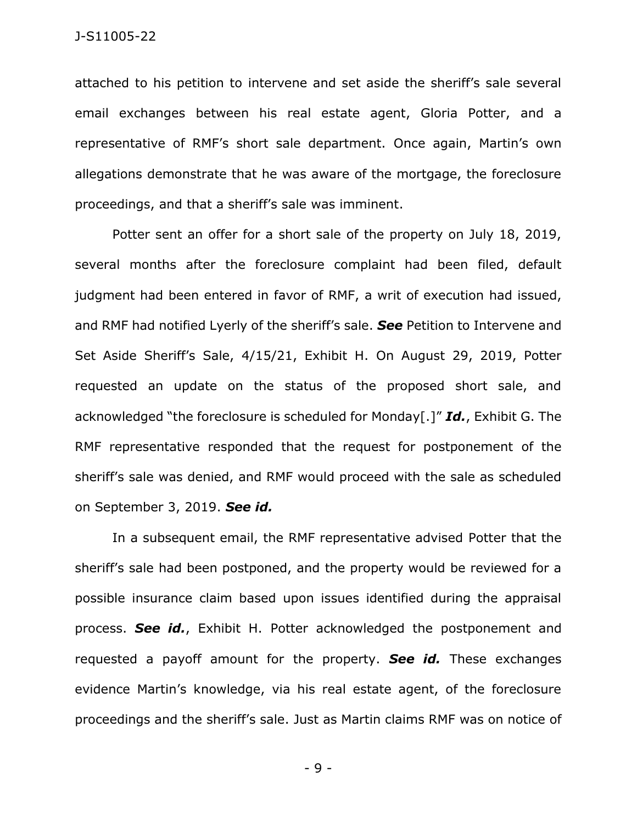attached to his petition to intervene and set aside the sheriff's sale several email exchanges between his real estate agent, Gloria Potter, and a representative of RMF's short sale department. Once again, Martin's own allegations demonstrate that he was aware of the mortgage, the foreclosure proceedings, and that a sheriff's sale was imminent.

Potter sent an offer for a short sale of the property on July 18, 2019, several months after the foreclosure complaint had been filed, default judgment had been entered in favor of RMF, a writ of execution had issued, and RMF had notified Lyerly of the sheriff's sale. *See* Petition to Intervene and Set Aside Sheriff's Sale, 4/15/21, Exhibit H. On August 29, 2019, Potter requested an update on the status of the proposed short sale, and acknowledged "the foreclosure is scheduled for Monday[.]" *Id.*, Exhibit G. The RMF representative responded that the request for postponement of the sheriff's sale was denied, and RMF would proceed with the sale as scheduled on September 3, 2019. *See id.*

In a subsequent email, the RMF representative advised Potter that the sheriff's sale had been postponed, and the property would be reviewed for a possible insurance claim based upon issues identified during the appraisal process. *See id.*, Exhibit H. Potter acknowledged the postponement and requested a payoff amount for the property. *See id.* These exchanges evidence Martin's knowledge, via his real estate agent, of the foreclosure proceedings and the sheriff's sale. Just as Martin claims RMF was on notice of

- 9 -